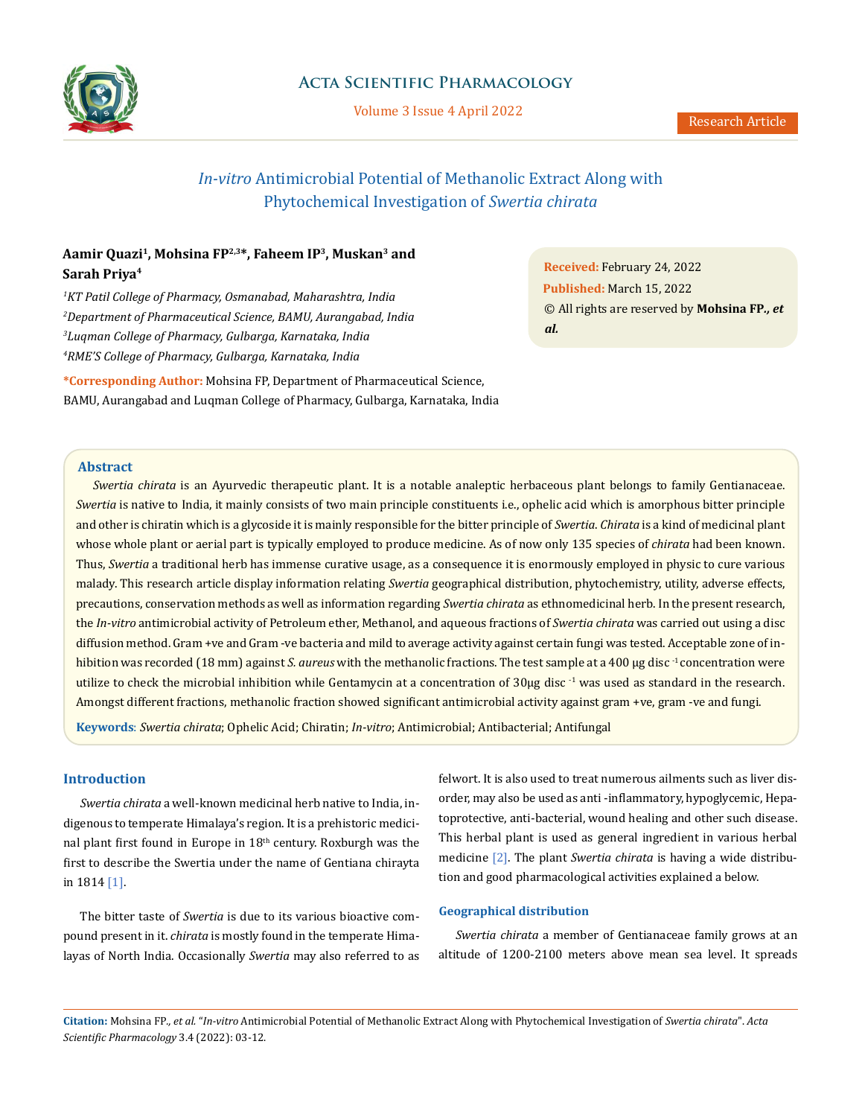

# **Acta Scientific Pharmacology**

Volume 3 Issue 4 April 2022

# *In-vitro* Antimicrobial Potential of Methanolic Extract Along with Phytochemical Investigation of *Swertia chirata*

# **Aamir Quazi1, Mohsina FP2,3\*, Faheem IP3, Muskan3 and Sarah Priya4**

 *KT Patil College of Pharmacy, Osmanabad, Maharashtra, India Department of Pharmaceutical Science, BAMU, Aurangabad, India Luqman College of Pharmacy, Gulbarga, Karnataka, India RME'S College of Pharmacy, Gulbarga, Karnataka, India*

**\*Corresponding Author:** Mohsina FP, Department of Pharmaceutical Science, BAMU, Aurangabad and Luqman College of Pharmacy, Gulbarga, Karnataka, India **Received:** February 24, 2022 **Published:** March 15, 2022 © All rights are reserved by **Mohsina FP***., et al.*

# **Abstract**

*Swertia chirata* is an Ayurvedic therapeutic plant. It is a notable analeptic herbaceous plant belongs to family Gentianaceae. *Swertia* is native to India, it mainly consists of two main principle constituents i.e., ophelic acid which is amorphous bitter principle and other is chiratin which is a glycoside it is mainly responsible for the bitter principle of *Swertia*. *Chirata* is a kind of medicinal plant whose whole plant or aerial part is typically employed to produce medicine. As of now only 135 species of *chirata* had been known. Thus, *Swertia* a traditional herb has immense curative usage, as a consequence it is enormously employed in physic to cure various malady. This research article display information relating *Swertia* geographical distribution, phytochemistry, utility, adverse effects, precautions, conservation methods as well as information regarding *Swertia chirata* as ethnomedicinal herb. In the present research, the *In-vitro* antimicrobial activity of Petroleum ether, Methanol, and aqueous fractions of *Swertia chirata* was carried out using a disc diffusion method. Gram +ve and Gram -ve bacteria and mild to average activity against certain fungi was tested. Acceptable zone of inhibition was recorded (18 mm) against *S. aureus* with the methanolic fractions. The test sample at a 400 µg disc<sup>-1</sup> concentration were utilize to check the microbial inhibition while Gentamycin at a concentration of  $30\mu$ g disc<sup>-1</sup> was used as standard in the research. Amongst different fractions, methanolic fraction showed significant antimicrobial activity against gram +ve, gram -ve and fungi.

**Keywords**: *Swertia chirata*; Ophelic Acid; Chiratin; *In-vitro*; Antimicrobial; Antibacterial; Antifungal

# **Introduction**

*Swertia chirata* a well-known medicinal herb native to India, indigenous to temperate Himalaya's region. It is a prehistoric medicinal plant first found in Europe in 18<sup>th</sup> century. Roxburgh was the first to describe the Swertia under the name of Gentiana chirayta in 1814 [1].

The bitter taste of *Swertia* is due to its various bioactive compound present in it. *chirata* is mostly found in the temperate Himalayas of North India. Occasionally *Swertia* may also referred to as felwort. It is also used to treat numerous ailments such as liver disorder, may also be used as anti -inflammatory, hypoglycemic, Hepatoprotective, anti-bacterial, wound healing and other such disease. This herbal plant is used as general ingredient in various herbal medicine [2]. The plant *Swertia chirata* is having a wide distribution and good pharmacological activities explained a below.

### **Geographical distribution**

*Swertia chirata* a member of Gentianaceae family grows at an altitude of 1200-2100 meters above mean sea level. It spreads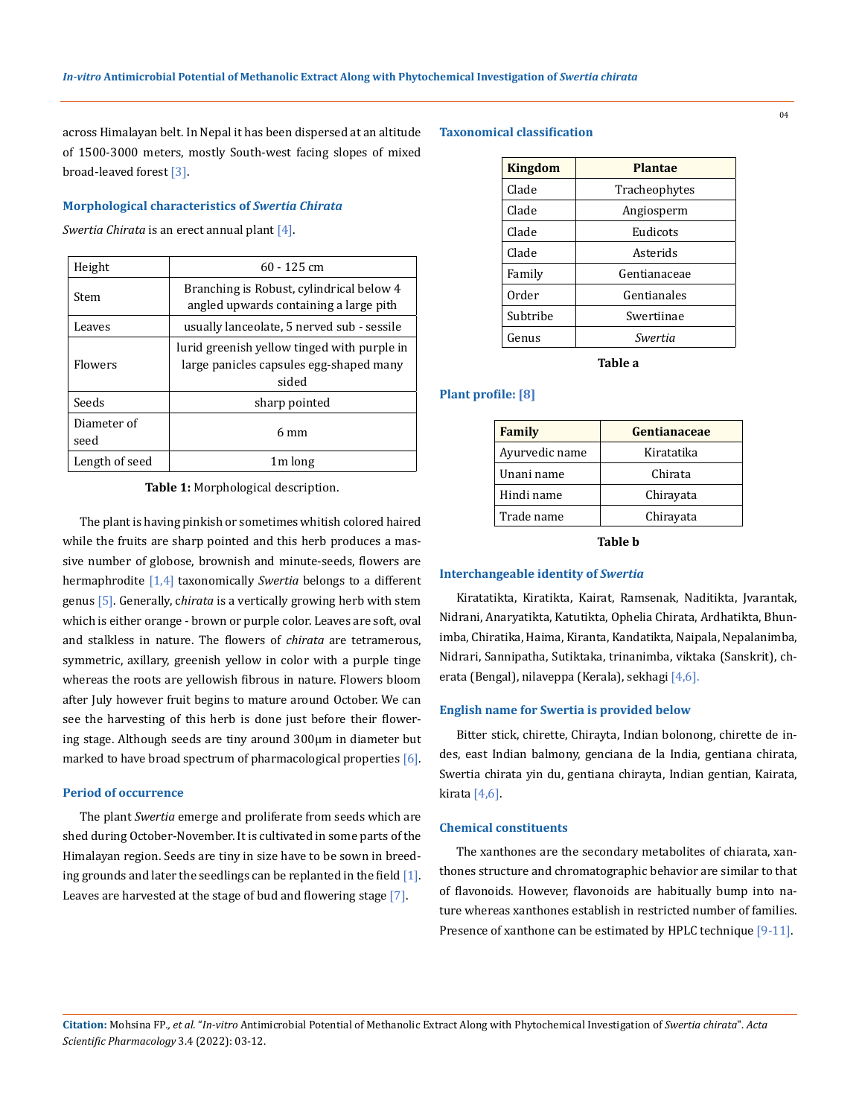across Himalayan belt. In Nepal it has been dispersed at an altitude of 1500-3000 meters, mostly South-west facing slopes of mixed broad-leaved forest [3].

#### **Morphological characteristics of** *Swertia Chirata*

*Swertia Chirata* is an erect annual plant [4].

| Height              | $60 - 125$ cm                                                                                   |
|---------------------|-------------------------------------------------------------------------------------------------|
| Stem                | Branching is Robust, cylindrical below 4<br>angled upwards containing a large pith              |
| Leaves              | usually lanceolate, 5 nerved sub - sessile                                                      |
| Flowers             | lurid greenish yellow tinged with purple in<br>large panicles capsules egg-shaped many<br>sided |
| Seeds               | sharp pointed                                                                                   |
| Diameter of<br>seed | 6 mm                                                                                            |
| Length of seed      | 1 <sub>m</sub> long                                                                             |

**Table 1:** Morphological description.

The plant is having pinkish or sometimes whitish colored haired while the fruits are sharp pointed and this herb produces a massive number of globose, brownish and minute-seeds, flowers are hermaphrodite [1,4] taxonomically *Swertia* belongs to a different genus [5]. Generally, c*hirata* is a vertically growing herb with stem which is either orange - brown or purple color. Leaves are soft, oval and stalkless in nature. The flowers of *chirata* are tetramerous, symmetric, axillary, greenish yellow in color with a purple tinge whereas the roots are yellowish fibrous in nature. Flowers bloom after July however fruit begins to mature around October. We can see the harvesting of this herb is done just before their flowering stage. Although seeds are tiny around 300μm in diameter but marked to have broad spectrum of pharmacological properties  $[6]$ .

#### **Period of occurrence**

The plant *Swertia* emerge and proliferate from seeds which are shed during October-November. It is cultivated in some parts of the Himalayan region. Seeds are tiny in size have to be sown in breeding grounds and later the seedlings can be replanted in the field [1]. Leaves are harvested at the stage of bud and flowering stage [7].

# **Taxonomical classification**

| Kingdom  | Plantae       |  |  |
|----------|---------------|--|--|
| Clade    | Tracheophytes |  |  |
| Clade    | Angiosperm    |  |  |
| Clade    | Eudicots      |  |  |
| Clade    | Asterids      |  |  |
| Family   | Gentianaceae  |  |  |
| Order    | Gentianales   |  |  |
| Subtribe | Swertiinae    |  |  |
| Genus    | Swertia       |  |  |
|          |               |  |  |

**Table a**

# **Plant profile: [8]**

| Family         | Gentianaceae |
|----------------|--------------|
| Ayurvedic name | Kiratatika   |
| Unani name     | Chirata      |
| Hindi name     | Chirayata    |
| Trade name     | Chirayata    |

#### **Table b**

#### **Interchangeable identity of** *Swertia*

Kiratatikta, Kiratikta, Kairat, Ramsenak, Naditikta, Jvarantak, Nidrani, Anaryatikta, Katutikta, Ophelia Chirata, Ardhatikta, Bhunimba, Chiratika, Haima, Kiranta, Kandatikta, Naipala, Nepalanimba, Nidrari, Sannipatha, Sutiktaka, trinanimba, viktaka (Sanskrit), cherata (Bengal), nilaveppa (Kerala), sekhagi [4,6].

#### **English name for Swertia is provided below**

Bitter stick, chirette, Chirayta, Indian bolonong, chirette de indes, east Indian balmony, genciana de la India, gentiana chirata, Swertia chirata yin du, gentiana chirayta, Indian gentian, Kairata, kirata [4,6].

#### **Chemical constituents**

The xanthones are the secondary metabolites of chiarata, xanthones structure and chromatographic behavior are similar to that of flavonoids. However, flavonoids are habitually bump into nature whereas xanthones establish in restricted number of families. Presence of xanthone can be estimated by HPLC technique [9-11].

04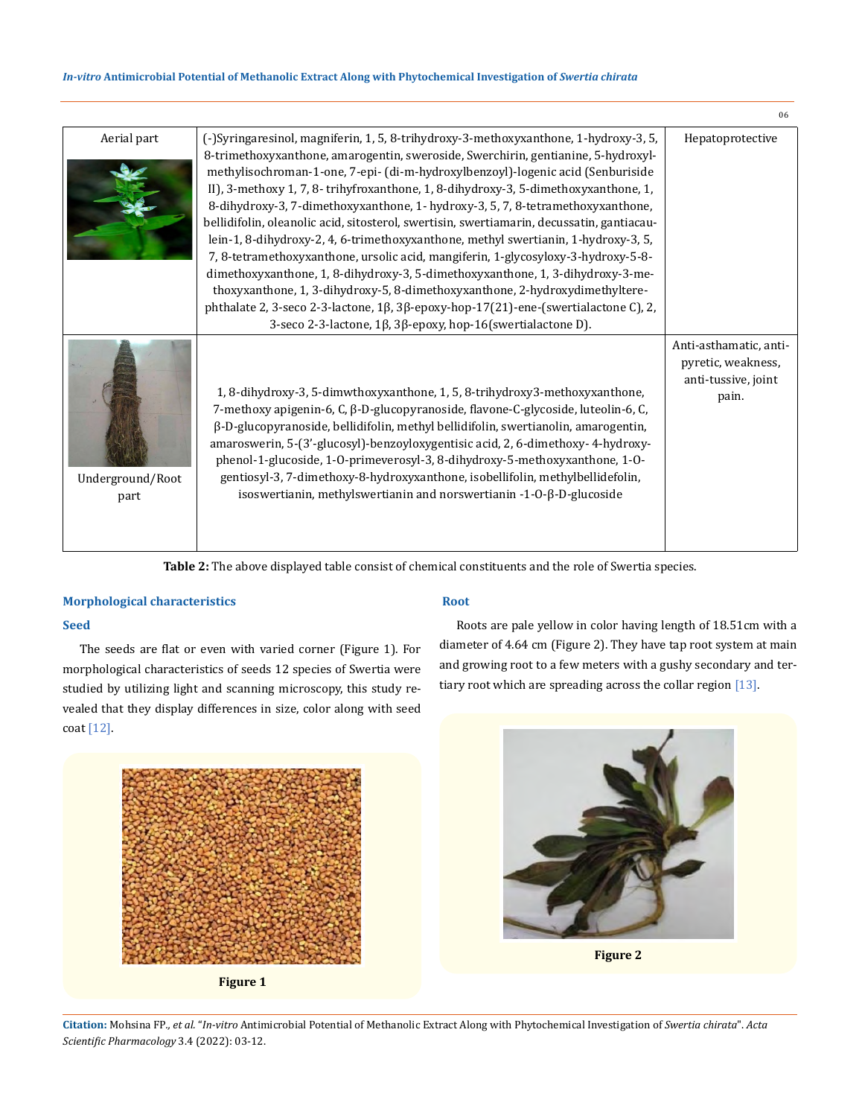# *In-vitro* **Antimicrobial Potential of Methanolic Extract Along with Phytochemical Investigation of** *Swertia chirata*

|                          |                                                                                                                                                                                                                                                                                                                                                                                                                                                                                                                                                                                                                                                                                                                                                                                                                                                                                                                                                                                                                                       | 06                                                                           |
|--------------------------|---------------------------------------------------------------------------------------------------------------------------------------------------------------------------------------------------------------------------------------------------------------------------------------------------------------------------------------------------------------------------------------------------------------------------------------------------------------------------------------------------------------------------------------------------------------------------------------------------------------------------------------------------------------------------------------------------------------------------------------------------------------------------------------------------------------------------------------------------------------------------------------------------------------------------------------------------------------------------------------------------------------------------------------|------------------------------------------------------------------------------|
| Aerial part              | (-)Syringaresinol, magniferin, 1, 5, 8-trihydroxy-3-methoxyxanthone, 1-hydroxy-3, 5,<br>8-trimethoxyxanthone, amarogentin, sweroside, Swerchirin, gentianine, 5-hydroxyl-<br>methylisochroman-1-one, 7-epi- (di-m-hydroxylbenzoyl)-logenic acid (Senburiside<br>II), 3-methoxy 1, 7, 8-trihyfroxanthone, 1, 8-dihydroxy-3, 5-dimethoxyxanthone, 1,<br>8-dihydroxy-3, 7-dimethoxyxanthone, 1- hydroxy-3, 5, 7, 8-tetramethoxyxanthone,<br>bellidifolin, oleanolic acid, sitosterol, swertisin, swertiamarin, decussatin, gantiacau-<br>lein-1, 8-dihydroxy-2, 4, 6-trimethoxyxanthone, methyl swertianin, 1-hydroxy-3, 5,<br>7, 8-tetramethoxyxanthone, ursolic acid, mangiferin, 1-glycosyloxy-3-hydroxy-5-8-<br>dimethoxyxanthone, 1, 8-dihydroxy-3, 5-dimethoxyxanthone, 1, 3-dihydroxy-3-me-<br>thoxyxanthone, 1, 3-dihydroxy-5, 8-dimethoxyxanthone, 2-hydroxydimethyltere-<br>phthalate 2, 3-seco 2-3-lactone, 1β, 3β-epoxy-hop-17(21)-ene-(swertialactone C), 2,<br>3-seco 2-3-lactone, 1β, 3β-epoxy, hop-16(swertialactone D). | Hepatoprotective                                                             |
| Underground/Root<br>part | 1, 8-dihydroxy-3, 5-dimwthoxyxanthone, 1, 5, 8-trihydroxy3-methoxyxanthone,<br>7-methoxy apigenin-6, C, β-D-glucopyranoside, flavone-C-glycoside, luteolin-6, C,<br>β-D-glucopyranoside, bellidifolin, methyl bellidifolin, swertianolin, amarogentin,<br>amaroswerin, 5-(3'-glucosyl)-benzoyloxygentisic acid, 2, 6-dimethoxy- 4-hydroxy-<br>phenol-1-glucoside, 1-O-primeverosyl-3, 8-dihydroxy-5-methoxyxanthone, 1-O-<br>gentiosyl-3, 7-dimethoxy-8-hydroxyxanthone, isobellifolin, methylbellidefolin,<br>isoswertianin, methylswertianin and norswertianin -1-O- $\beta$ -D-glucoside                                                                                                                                                                                                                                                                                                                                                                                                                                           | Anti-asthamatic, anti-<br>pyretic, weakness,<br>anti-tussive, joint<br>pain. |

**Table 2:** The above displayed table consist of chemical constituents and the role of Swertia species.

# **Morphological characteristics**

# **Seed**

The seeds are flat or even with varied corner (Figure 1). For morphological characteristics of seeds 12 species of Swertia were studied by utilizing light and scanning microscopy, this study revealed that they display differences in size, color along with seed coat [12].

# **Root**

Roots are pale yellow in color having length of 18.51cm with a diameter of 4.64 cm (Figure 2). They have tap root system at main and growing root to a few meters with a gushy secondary and tertiary root which are spreading across the collar region [13].



**Figure 1**



**Figure 2**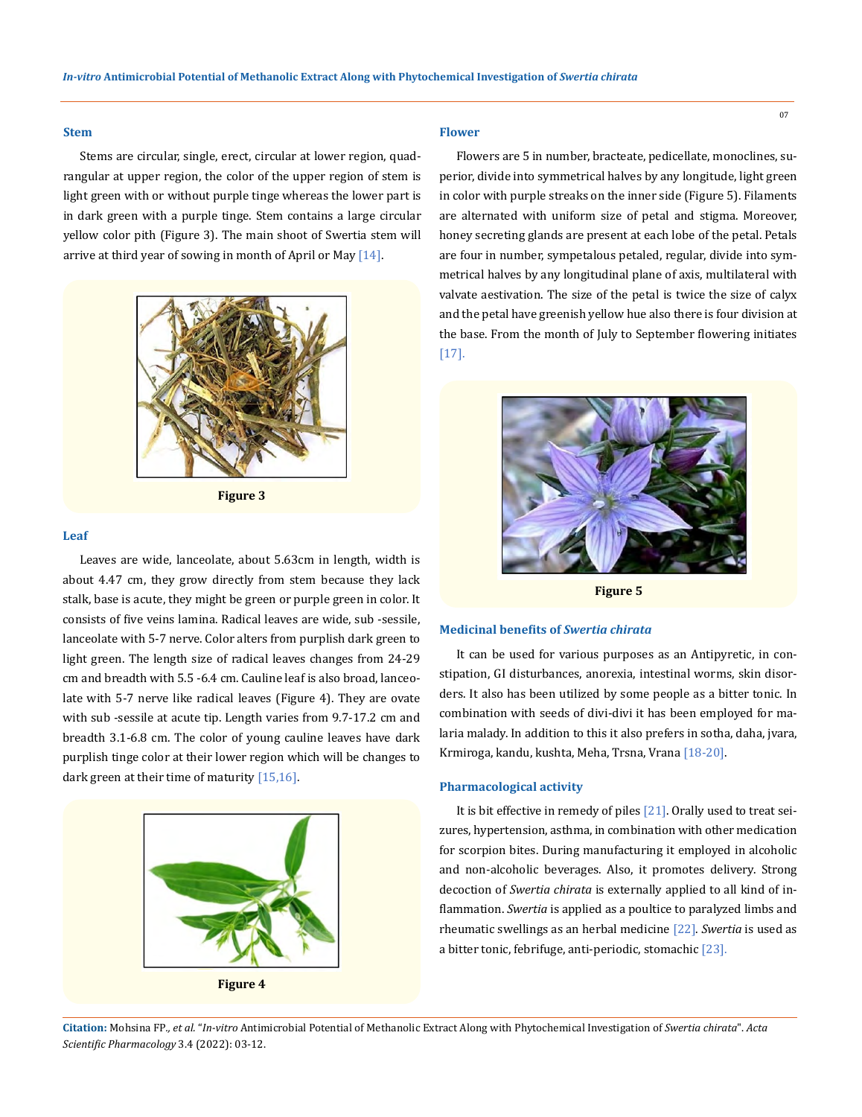#### **Stem**

Stems are circular, single, erect, circular at lower region, quadrangular at upper region, the color of the upper region of stem is light green with or without purple tinge whereas the lower part is in dark green with a purple tinge. Stem contains a large circular yellow color pith (Figure 3). The main shoot of Swertia stem will arrive at third year of sowing in month of April or May [14].



**Figure 3**

### **Leaf**

Leaves are wide, lanceolate, about 5.63cm in length, width is about 4.47 cm, they grow directly from stem because they lack stalk, base is acute, they might be green or purple green in color. It consists of five veins lamina. Radical leaves are wide, sub -sessile, lanceolate with 5-7 nerve. Color alters from purplish dark green to light green. The length size of radical leaves changes from 24-29 cm and breadth with 5.5 -6.4 cm. Cauline leaf is also broad, lanceolate with 5-7 nerve like radical leaves (Figure 4). They are ovate with sub -sessile at acute tip. Length varies from 9.7-17.2 cm and breadth 3.1-6.8 cm. The color of young cauline leaves have dark purplish tinge color at their lower region which will be changes to dark green at their time of maturity  $[15,16]$ .



#### **Flower**

Flowers are 5 in number, bracteate, pedicellate, monoclines, superior, divide into symmetrical halves by any longitude, light green in color with purple streaks on the inner side (Figure 5). Filaments are alternated with uniform size of petal and stigma. Moreover, honey secreting glands are present at each lobe of the petal. Petals are four in number, sympetalous petaled, regular, divide into symmetrical halves by any longitudinal plane of axis, multilateral with valvate aestivation. The size of the petal is twice the size of calyx and the petal have greenish yellow hue also there is four division at the base. From the month of July to September flowering initiates [17].



**Figure 5**

# **Medicinal benefits of** *Swertia chirata*

It can be used for various purposes as an Antipyretic, in constipation, GI disturbances, anorexia, intestinal worms, skin disorders. It also has been utilized by some people as a bitter tonic. In combination with seeds of divi-divi it has been employed for malaria malady. In addition to this it also prefers in sotha, daha, jvara, Krmiroga, kandu, kushta, Meha, Trsna, Vrana [18-20].

# **Pharmacological activity**

It is bit effective in remedy of piles [21]. Orally used to treat seizures, hypertension, asthma, in combination with other medication for scorpion bites. During manufacturing it employed in alcoholic and non-alcoholic beverages. Also, it promotes delivery. Strong decoction of *Swertia chirata* is externally applied to all kind of inflammation. *Swertia* is applied as a poultice to paralyzed limbs and rheumatic swellings as an herbal medicine [22]. *Swertia* is used as a bitter tonic, febrifuge, anti-periodic, stomachic [23].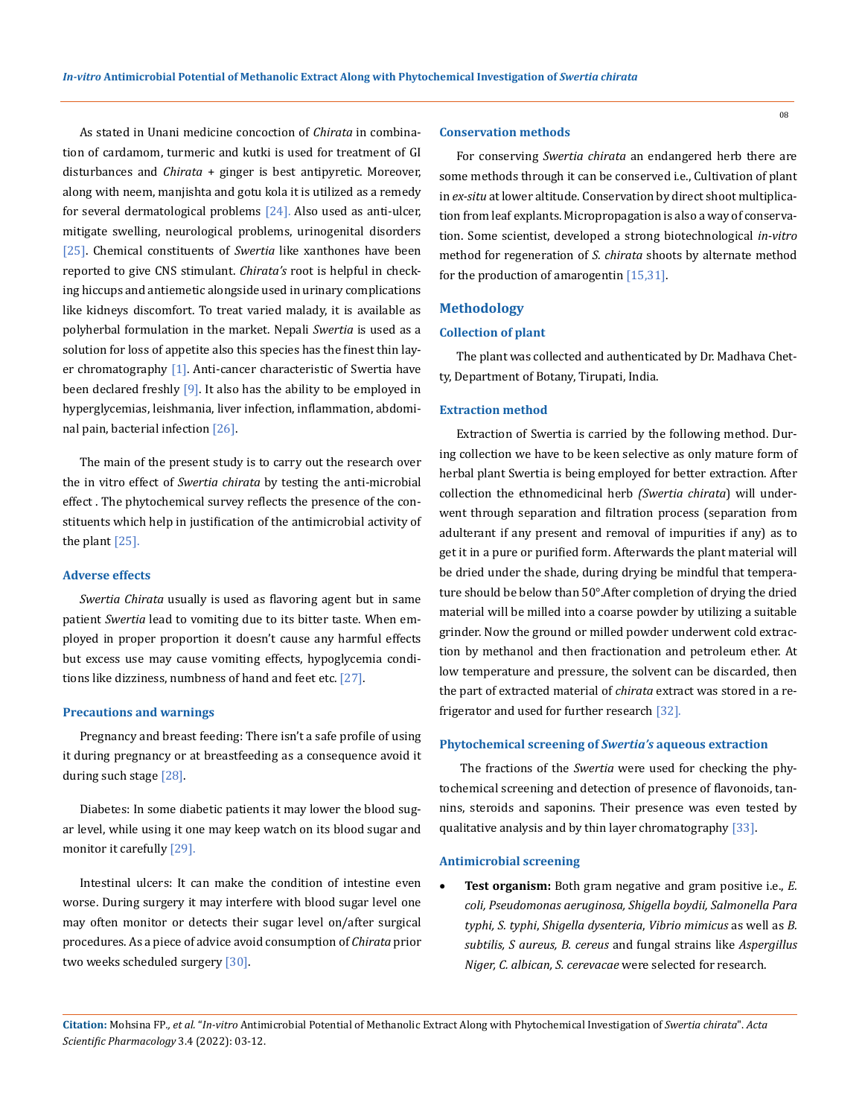As stated in Unani medicine concoction of *Chirata* in combination of cardamom, turmeric and kutki is used for treatment of GI disturbances and *Chirata* + ginger is best antipyretic. Moreover, along with neem, manjishta and gotu kola it is utilized as a remedy for several dermatological problems  $[24]$ . Also used as anti-ulcer, mitigate swelling, neurological problems, urinogenital disorders [25]. Chemical constituents of *Swertia* like xanthones have been reported to give CNS stimulant. *Chirata's* root is helpful in checking hiccups and antiemetic alongside used in urinary complications like kidneys discomfort. To treat varied malady, it is available as polyherbal formulation in the market. Nepali *Swertia* is used as a solution for loss of appetite also this species has the finest thin layer chromatography [1]. Anti-cancer characteristic of Swertia have been declared freshly [9]. It also has the ability to be employed in hyperglycemias, leishmania, liver infection, inflammation, abdominal pain, bacterial infection [26].

The main of the present study is to carry out the research over the in vitro effect of *Swertia chirata* by testing the anti-microbial effect . The phytochemical survey reflects the presence of the constituents which help in justification of the antimicrobial activity of the plant [25].

#### **Adverse effects**

*Swertia Chirata* usually is used as flavoring agent but in same patient *Swertia* lead to vomiting due to its bitter taste. When employed in proper proportion it doesn't cause any harmful effects but excess use may cause vomiting effects, hypoglycemia conditions like dizziness, numbness of hand and feet etc. [27].

### **Precautions and warnings**

Pregnancy and breast feeding: There isn't a safe profile of using it during pregnancy or at breastfeeding as a consequence avoid it during such stage [28].

Diabetes: In some diabetic patients it may lower the blood sugar level, while using it one may keep watch on its blood sugar and monitor it carefully [29].

Intestinal ulcers: It can make the condition of intestine even worse. During surgery it may interfere with blood sugar level one may often monitor or detects their sugar level on/after surgical procedures. As a piece of advice avoid consumption of *Chirata* prior two weeks scheduled surgery [30].

### **Conservation methods**

For conserving *Swertia chirata* an endangered herb there are some methods through it can be conserved i.e., Cultivation of plant in *ex-situ* at lower altitude. Conservation by direct shoot multiplication from leaf explants. Micropropagation is also a way of conservation. Some scientist, developed a strong biotechnological *in-vitro* method for regeneration of *S. chirata* shoots by alternate method for the production of amarogentin [15,31].

# **Methodology**

# **Collection of plant**

The plant was collected and authenticated by Dr. Madhava Chetty, Department of Botany, Tirupati, India.

#### **Extraction method**

Extraction of Swertia is carried by the following method. During collection we have to be keen selective as only mature form of herbal plant Swertia is being employed for better extraction. After collection the ethnomedicinal herb *(Swertia chirata*) will underwent through separation and filtration process (separation from adulterant if any present and removal of impurities if any) as to get it in a pure or purified form. Afterwards the plant material will be dried under the shade, during drying be mindful that temperature should be below than 50°.After completion of drying the dried material will be milled into a coarse powder by utilizing a suitable grinder. Now the ground or milled powder underwent cold extraction by methanol and then fractionation and petroleum ether. At low temperature and pressure, the solvent can be discarded, then the part of extracted material of *chirata* extract was stored in a refrigerator and used for further research [32].

### **Phytochemical screening of** *Swertia's* **aqueous extraction**

 The fractions of the *Swertia* were used for checking the phytochemical screening and detection of presence of flavonoids, tannins, steroids and saponins. Their presence was even tested by qualitative analysis and by thin layer chromatography [33].

#### **Antimicrobial screening**

**Test organism:** Both gram negative and gram positive i.e., *E. coli, Pseudomonas aeruginosa, Shigella boydii, Salmonella Para typhi, S. typhi*, *Shigella dysenteria*, *Vibrio mimicus* as well as *B. subtilis, S aureus, B. cereus* and fungal strains like *Aspergillus Niger, C. albican, S. cerevacae* were selected for research.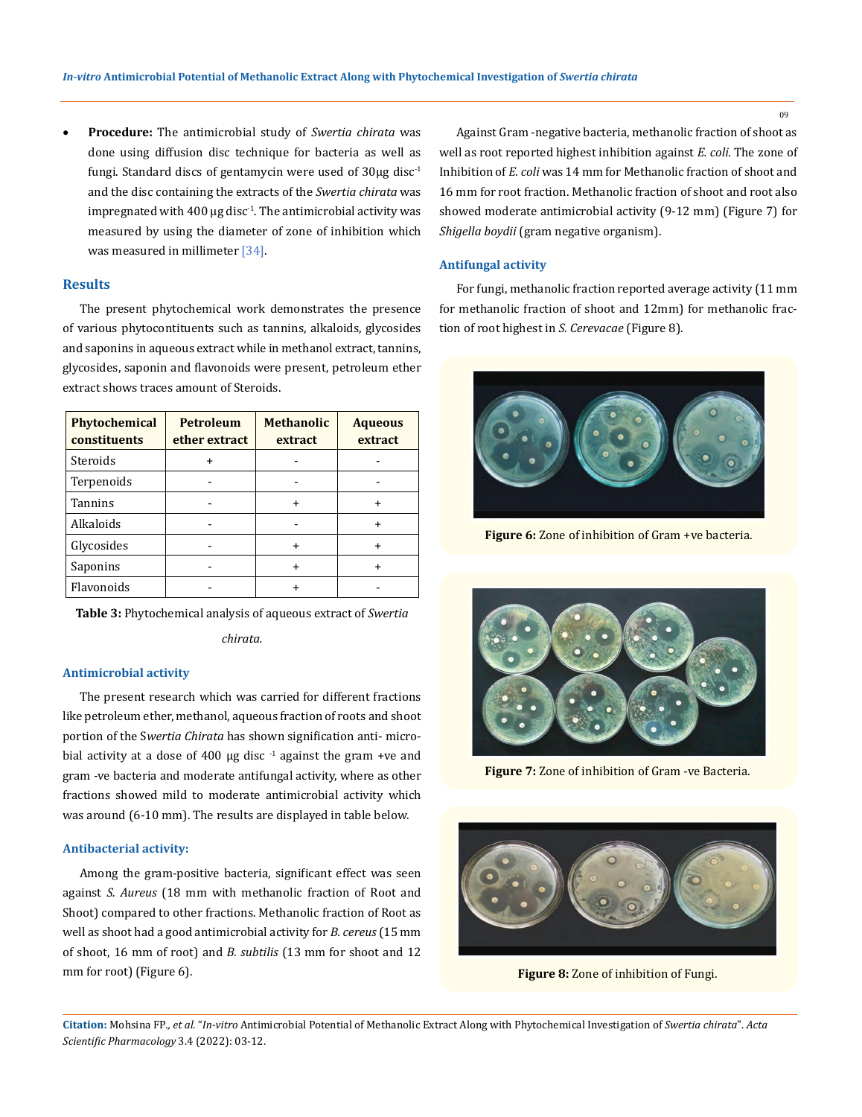Procedure: The antimicrobial study of *Swertia chirata* was done using diffusion disc technique for bacteria as well as fungi. Standard discs of gentamycin were used of  $30\mu$ g disc<sup>-1</sup> and the disc containing the extracts of the *Swertia chirata* was impregnated with 400  $\mu$ g disc<sup>-1</sup>. The antimicrobial activity was measured by using the diameter of zone of inhibition which was measured in millimeter [34].

# **Results**

The present phytochemical work demonstrates the presence of various phytocontituents such as tannins, alkaloids, glycosides and saponins in aqueous extract while in methanol extract, tannins, glycosides, saponin and flavonoids were present, petroleum ether extract shows traces amount of Steroids.

| Phytochemical<br><b>constituents</b> | <b>Petroleum</b><br>ether extract | <b>Methanolic</b><br>extract | <b>Aqueous</b><br>extract |  |
|--------------------------------------|-----------------------------------|------------------------------|---------------------------|--|
| Steroids                             |                                   |                              |                           |  |
| Terpenoids                           |                                   |                              |                           |  |
| <b>Tannins</b>                       |                                   |                              |                           |  |
| Alkaloids                            |                                   |                              | $\div$                    |  |
| Glycosides                           |                                   |                              | ÷                         |  |
| Saponins                             |                                   |                              | $\div$                    |  |
| Flavonoids                           |                                   |                              |                           |  |

**Table 3:** Phytochemical analysis of aqueous extract of *Swertia* 

*chirata.*

### **Antimicrobial activity**

The present research which was carried for different fractions like petroleum ether, methanol, aqueous fraction of roots and shoot portion of the S*wertia Chirata* has shown signification anti- microbial activity at a dose of 400  $\mu$ g disc<sup>-1</sup> against the gram +ve and gram -ve bacteria and moderate antifungal activity, where as other fractions showed mild to moderate antimicrobial activity which was around (6-10 mm). The results are displayed in table below.

#### **Antibacterial activity:**

Among the gram-positive bacteria, significant effect was seen against *S. Aureus* (18 mm with methanolic fraction of Root and Shoot) compared to other fractions. Methanolic fraction of Root as well as shoot had a good antimicrobial activity for *B. cereus* (15 mm of shoot, 16 mm of root) and *B. subtilis* (13 mm for shoot and 12 mm for root) (Figure 6).

Against Gram -negative bacteria, methanolic fraction of shoot as well as root reported highest inhibition against *E. coli.* The zone of Inhibition of *E. coli* was 14 mm for Methanolic fraction of shoot and 16 mm for root fraction. Methanolic fraction of shoot and root also showed moderate antimicrobial activity (9-12 mm) (Figure 7) for *Shigella boydii* (gram negative organism).

### **Antifungal activity**

For fungi, methanolic fraction reported average activity (11 mm for methanolic fraction of shoot and 12mm) for methanolic fraction of root highest in *S. Cerevacae* (Figure 8)*.*



**Figure 6:** Zone of inhibition of Gram +ve bacteria.



**Figure 7:** Zone of inhibition of Gram -ve Bacteria.



**Figure 8:** Zone of inhibition of Fungi.

**Citation:** Mohsina FP*., et al.* "*In-vitro* Antimicrobial Potential of Methanolic Extract Along with Phytochemical Investigation of *Swertia chirata*". *Acta Scientific Pharmacology* 3.4 (2022): 03-12.

09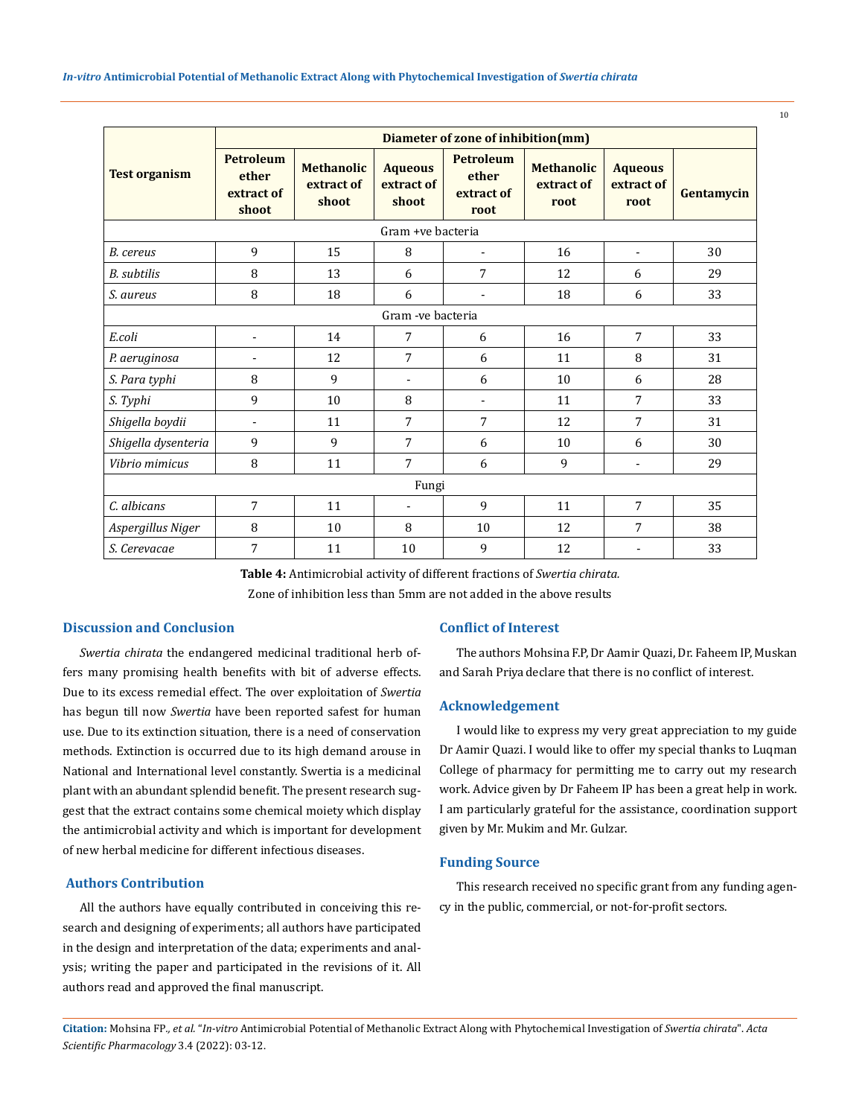|                      | Diameter of zone of inhibition(mm)               |                                          |                                       |                                                 |                                         |                                      |            |
|----------------------|--------------------------------------------------|------------------------------------------|---------------------------------------|-------------------------------------------------|-----------------------------------------|--------------------------------------|------------|
| <b>Test organism</b> | <b>Petroleum</b><br>ether<br>extract of<br>shoot | <b>Methanolic</b><br>extract of<br>shoot | <b>Aqueous</b><br>extract of<br>shoot | <b>Petroleum</b><br>ether<br>extract of<br>root | <b>Methanolic</b><br>extract of<br>root | <b>Aqueous</b><br>extract of<br>root | Gentamycin |
|                      |                                                  |                                          | Gram +ve bacteria                     |                                                 |                                         |                                      |            |
| B. cereus            | 9                                                | 15                                       | 8                                     |                                                 | 16                                      | $\overline{\phantom{a}}$             | 30         |
| <b>B.</b> subtilis   | 8                                                | 13                                       | 6                                     | 7                                               | 12                                      | 6                                    | 29         |
| S. aureus            | 8                                                | 18                                       | 6                                     | $\overline{\phantom{a}}$                        | 18                                      | 6                                    | 33         |
|                      |                                                  |                                          | Gram - ve bacteria                    |                                                 |                                         |                                      |            |
| E.coli               | $\blacksquare$                                   | 14                                       | 7                                     | 6                                               | 16                                      | 7                                    | 33         |
| P. aeruginosa        | ٠                                                | 12                                       | $\overline{7}$                        | 6                                               | 11                                      | 8                                    | 31         |
| S. Para typhi        | 8                                                | 9                                        | $\overline{a}$                        | 6                                               | 10                                      | 6                                    | 28         |
| S. Typhi             | 9                                                | 10                                       | 8                                     | $\blacksquare$                                  | 11                                      | 7                                    | 33         |
| Shigella boydii      | $\blacksquare$                                   | 11                                       | 7                                     | 7                                               | 12                                      | 7                                    | 31         |
| Shigella dysenteria  | 9                                                | 9                                        | 7                                     | 6                                               | 10                                      | 6                                    | 30         |
| Vibrio mimicus       | 8                                                | 11                                       | 7                                     | 6                                               | 9                                       | $\overline{\phantom{a}}$             | 29         |
| Fungi                |                                                  |                                          |                                       |                                                 |                                         |                                      |            |
| C. albicans          | 7                                                | 11                                       |                                       | 9                                               | 11                                      | 7                                    | 35         |
| Aspergillus Niger    | 8                                                | 10                                       | 8                                     | 10                                              | 12                                      | 7                                    | 38         |
| S. Cerevacae         | 7                                                | 11                                       | 10                                    | 9                                               | 12                                      |                                      | 33         |

**Table 4:** Antimicrobial activity of different fractions of *Swertia chirata.* Zone of inhibition less than 5mm are not added in the above results

# **Discussion and Conclusion**

*Swertia chirata* the endangered medicinal traditional herb offers many promising health benefits with bit of adverse effects. Due to its excess remedial effect. The over exploitation of *Swertia* has begun till now *Swertia* have been reported safest for human use. Due to its extinction situation, there is a need of conservation methods. Extinction is occurred due to its high demand arouse in National and International level constantly. Swertia is a medicinal plant with an abundant splendid benefit. The present research suggest that the extract contains some chemical moiety which display the antimicrobial activity and which is important for development of new herbal medicine for different infectious diseases.

# **Authors Contribution**

All the authors have equally contributed in conceiving this research and designing of experiments; all authors have participated in the design and interpretation of the data; experiments and analysis; writing the paper and participated in the revisions of it. All authors read and approved the final manuscript.

# **Conflict of Interest**

The authors Mohsina F.P, Dr Aamir Quazi, Dr. Faheem IP, Muskan and Sarah Priyadeclare that there is no conflict of interest.

# **Acknowledgement**

I would like to express my very great appreciation to my guide Dr Aamir Quazi. I would like to offer my special thanks to Luqman College of pharmacy for permitting me to carry out my research work. Advice given by Dr Faheem IP has been a great help in work. I am particularly grateful for the assistance, coordination support given by Mr. Mukim and Mr. Gulzar.

### **Funding Source**

This research received no specific grant from any funding agency in the public, commercial, or not-for-profit sectors.

10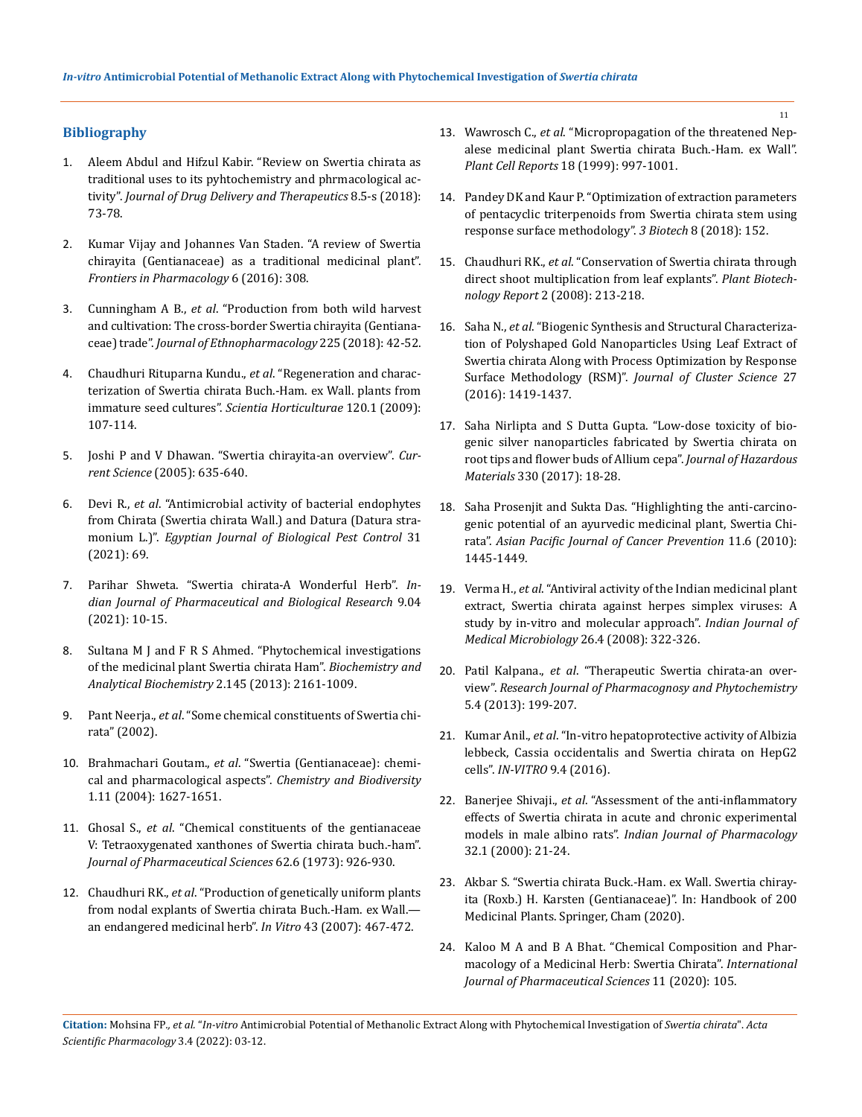# **Bibliography**

- 1. [Aleem Abdul and Hifzul Kabir. "Review on Swertia chirata as](http://jddtonline.info/index.php/jddt/article/view/1957)  [traditional uses to its pyhtochemistry and phrmacological ac](http://jddtonline.info/index.php/jddt/article/view/1957)tivity". *[Journal of Drug Delivery and Therapeutics](http://jddtonline.info/index.php/jddt/article/view/1957)* 8.5-s (2018): [73-78.](http://jddtonline.info/index.php/jddt/article/view/1957)
- 2. [Kumar Vijay and Johannes Van Staden. "A review of Swertia](https://www.frontiersin.org/articles/10.3389/fphar.2015.00308/full)  [chirayita \(Gentianaceae\) as a traditional medicinal plant".](https://www.frontiersin.org/articles/10.3389/fphar.2015.00308/full)  *[Frontiers in Pharmacology](https://www.frontiersin.org/articles/10.3389/fphar.2015.00308/full)* 6 (2016): 308.
- 3. Cunningham A B., *et al*[. "Production from both wild harvest](https://doi.org/10.1016/j.jep.2018.06.033)  [and cultivation: The cross-border Swertia chirayita \(Gentiana](https://doi.org/10.1016/j.jep.2018.06.033)ceae) trade". *[Journal of Ethnopharmacology](https://doi.org/10.1016/j.jep.2018.06.033)* 225 (2018): 42-52.
- 4. [Chaudhuri Rituparna Kundu.,](https://doi.org/10.1016/j.scienta.2008.09.022) *et al*. "Regeneration and charac[terization of Swertia chirata Buch.-Ham. ex Wall. plants from](https://doi.org/10.1016/j.scienta.2008.09.022)  [immature seed cultures".](https://doi.org/10.1016/j.scienta.2008.09.022) *Scientia Horticulturae* 120.1 (2009): [107-114.](https://doi.org/10.1016/j.scienta.2008.09.022)
- 5. [Joshi P and V Dhawan. "Swertia chirayita-an overview".](https://www.jstor.org/stable/24111159) *Current Science* [\(2005\): 635-640.](https://www.jstor.org/stable/24111159)
- 6. Devi R., *et al*[. "Antimicrobial activity of bacterial endophytes](https://doi.org/10.1186/s41938-021-00410-9)  [from Chirata \(Swertia chirata Wall.\) and Datura \(Datura stra](https://doi.org/10.1186/s41938-021-00410-9)monium L.)". *[Egyptian Journal of Biological Pest Control](https://doi.org/10.1186/s41938-021-00410-9)* 31 [\(2021\): 69.](https://doi.org/10.1186/s41938-021-00410-9)
- 7. [Parihar Shweta. "Swertia chirata-A Wonderful Herb".](https://doi.org/10.30750/ijpbr.9.4.4) *In[dian Journal of Pharmaceutical and Biological Research](https://doi.org/10.30750/ijpbr.9.4.4)* 9.04 [\(2021\): 10-15.](https://doi.org/10.30750/ijpbr.9.4.4)
- 8. Sultana M J and F R S Ahmed. "Phytochemical investigations of the medicinal plant Swertia chirata Ham". *Biochemistry and Analytical Biochemistry* 2.145 (2013): 2161-1009.
- 9. Pant Neerja., *et al*[. "Some chemical constituents of Swertia chi](http://nopr.niscair.res.in/handle/123456789/22062)[rata" \(2002\).](http://nopr.niscair.res.in/handle/123456789/22062)
- 10. Brahmachari Goutam., *et al*[. "Swertia \(Gentianaceae\): chemi](https://doi.org/10.1002/cbdv.200490123)[cal and pharmacological aspects".](https://doi.org/10.1002/cbdv.200490123) *Chemistry and Biodiversity* [1.11 \(2004\): 1627-1651.](https://doi.org/10.1002/cbdv.200490123)
- 11. Ghosal S., *et al*[. "Chemical constituents of the gentianaceae](https://doi.org/10.1002/jps.2600620614)  [V: Tetraoxygenated xanthones of Swertia chirata buch.-ham".](https://doi.org/10.1002/jps.2600620614)  *[Journal of Pharmaceutical Sciences](https://doi.org/10.1002/jps.2600620614)* 62.6 (1973): 926-930.
- 12. Chaudhuri RK., *et al*[. "Production of genetically uniform plants](https://doi.org/10.1007/s11627-007-9095-9)  [from nodal explants of Swertia chirata Buch.-Ham. ex Wall.](https://doi.org/10.1007/s11627-007-9095-9) [an endangered medicinal herb".](https://doi.org/10.1007/s11627-007-9095-9) *In Vitro* 43 (2007): 467-472.
- 13. Wawrosch C., *et al*[. "Micropropagation of the threatened Nep](https://doi.org/10.1007/s002990050697)[alese medicinal plant Swertia chirata Buch.-Ham. ex Wall".](https://doi.org/10.1007/s002990050697)  *Plant Cell Reports* [18 \(1999\): 997-1001.](https://doi.org/10.1007/s002990050697)
- 14. [Pandey DK and Kaur P. "Optimization of extraction parameters](https://doi.org/10.1007/s13205-018-1174-6)  [of pentacyclic triterpenoids from Swertia chirata stem using](https://doi.org/10.1007/s13205-018-1174-6)  [response surface methodology".](https://doi.org/10.1007/s13205-018-1174-6) *3 Biotech* 8 (2018): 152.
- 15. Chaudhuri RK., *et al*[. "Conservation of Swertia chirata through](https://doi.org/10.1007/s11816-008-0064-5)  [direct shoot multiplication from leaf explants".](https://doi.org/10.1007/s11816-008-0064-5) *Plant Biotechnology Report* [2 \(2008\): 213-218.](https://doi.org/10.1007/s11816-008-0064-5)
- 16. Saha N., *et al*[. "Biogenic Synthesis and Structural Characteriza](https://doi.org/10.1007/s10876-016-1009-8)[tion of Polyshaped Gold Nanoparticles Using Leaf Extract of](https://doi.org/10.1007/s10876-016-1009-8)  [Swertia chirata Along with Process Optimization by Response](https://doi.org/10.1007/s10876-016-1009-8)  Surface Methodology (RSM)". *[Journal of Cluster Science](https://doi.org/10.1007/s10876-016-1009-8)* 27 [\(2016\): 1419-1437.](https://doi.org/10.1007/s10876-016-1009-8)
- 17. [Saha Nirlipta and S Dutta Gupta. "Low-dose toxicity of bio](https://doi.org/10.1016/j.jhazmat.2017.01.021)[genic silver nanoparticles fabricated by Swertia chirata on](https://doi.org/10.1016/j.jhazmat.2017.01.021)  [root tips and flower buds of Allium cepa".](https://doi.org/10.1016/j.jhazmat.2017.01.021) *Journal of Hazardous Materials* [330 \(2017\): 18-28.](https://doi.org/10.1016/j.jhazmat.2017.01.021)
- 18. [Saha Prosenjit and Sukta Das. "Highlighting the anti-carcino](https://pubmed.ncbi.nlm.nih.gov/21338178/)[genic potential of an ayurvedic medicinal plant, Swertia Chi](https://pubmed.ncbi.nlm.nih.gov/21338178/)rata". *[Asian Pacific Journal of Cancer Prevention](https://pubmed.ncbi.nlm.nih.gov/21338178/)* 11.6 (2010): [1445-1449.](https://pubmed.ncbi.nlm.nih.gov/21338178/)
- 19. Verma H., *et al*[. "Antiviral activity of the Indian medicinal plant](https://doi.org/10.1016/S0255-0857(21)01807-7)  [extract, Swertia chirata against herpes simplex viruses: A](https://doi.org/10.1016/S0255-0857(21)01807-7)  [study by in-vitro and molecular approach".](https://doi.org/10.1016/S0255-0857(21)01807-7) *Indian Journal of [Medical Microbiology](https://doi.org/10.1016/S0255-0857(21)01807-7)* 26.4 (2008): 322-326.
- 20. Patil Kalpana., *et al*. "Therapeutic Swertia chirata-an overview". *Research Journal of Pharmacognosy and Phytochemistry* 5.4 (2013): 199-207.
- 21. Kumar Anil., *et al*[. "In-vitro hepatoprotective activity of Albizia](https://www.researchgate.net/publication/334561067_In-vitro_hepatoprotective_activity_of_Albizia_lebbeck_Cassia_occidentalis_and_Swertia_chirata_on_HepG2_cells)  [lebbeck, Cassia occidentalis and Swertia chirata on HepG2](https://www.researchgate.net/publication/334561067_In-vitro_hepatoprotective_activity_of_Albizia_lebbeck_Cassia_occidentalis_and_Swertia_chirata_on_HepG2_cells)  cells". *IN-VITRO* [9.4 \(2016\).](https://www.researchgate.net/publication/334561067_In-vitro_hepatoprotective_activity_of_Albizia_lebbeck_Cassia_occidentalis_and_Swertia_chirata_on_HepG2_cells)
- 22. Banerjee Shivaji., *et al*[. "Assessment of the anti-inflammatory](https://www.ijp-online.com/article.asp?issn=0253-7613;year=2000;volume=32;issue=1;spage=21;epage=24;aulast=Shivaji;type=0)  [effects of Swertia chirata in acute and chronic experimental](https://www.ijp-online.com/article.asp?issn=0253-7613;year=2000;volume=32;issue=1;spage=21;epage=24;aulast=Shivaji;type=0)  models in male albino rats". *[Indian Journal of Pharmacology](https://www.ijp-online.com/article.asp?issn=0253-7613;year=2000;volume=32;issue=1;spage=21;epage=24;aulast=Shivaji;type=0)* [32.1 \(2000\): 21-24.](https://www.ijp-online.com/article.asp?issn=0253-7613;year=2000;volume=32;issue=1;spage=21;epage=24;aulast=Shivaji;type=0)
- 23. [Akbar S. "Swertia chirata Buck.-Ham. ex Wall. Swertia chiray](https://doi.org/10.1007/978-3-030-16807-0_176)[ita \(Roxb.\) H. Karsten \(Gentianaceae\)". In: Handbook of 200](https://doi.org/10.1007/978-3-030-16807-0_176)  [Medicinal Plants. Springer, Cham \(2020\).](https://doi.org/10.1007/978-3-030-16807-0_176)
- 24. [Kaloo M A and B A Bhat. "Chemical Composition and Phar](https://ipharmsciencia.edwiserinternational.com/home.php)[macology of a Medicinal Herb: Swertia Chirata".](https://ipharmsciencia.edwiserinternational.com/home.php) *International [Journal of Pharmaceutical Sciences](https://ipharmsciencia.edwiserinternational.com/home.php)* 11 (2020): 105.

11